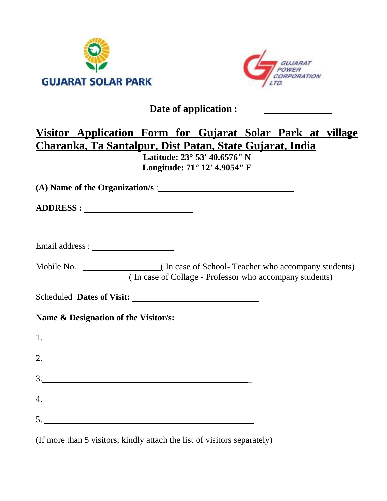



## **Date of application :**

# **Visitor Application Form for Gujarat Solar Park at village Charanka, Ta Santalpur, Dist Patan, State Gujarat, India**

**Latitude: 23° 53' 40.6576" N Longitude: 71° 12' 4.9054" E**

**(A) Name of the Organization/s** :

**ADDRESS :**

| Email address : |  |  |
|-----------------|--|--|
|                 |  |  |

Mobile No. ( In case of School- Teacher who accompany students) ( In case of Collage - Professor who accompany students)

Scheduled **Dates of Visit:** 

**Name & Designation of the Visitor/s:**

|    | $1. \underline{\hspace{2.0cm}}$ |  |  |  |
|----|---------------------------------|--|--|--|
|    |                                 |  |  |  |
|    | 3.                              |  |  |  |
|    |                                 |  |  |  |
| 5. |                                 |  |  |  |

(If more than 5 visitors, kindly attach the list of visitors separately)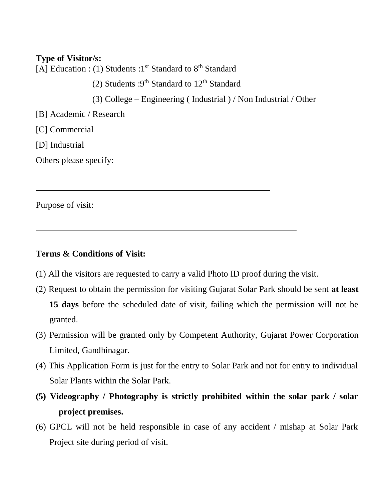**Type of Visitor/s:** [A] Education : (1) Students :  $1<sup>st</sup>$  Standard to  $8<sup>th</sup>$  Standard (2) Students :  $9<sup>th</sup>$  Standard to  $12<sup>th</sup>$  Standard (3) College – Engineering ( Industrial ) / Non Industrial / Other [B] Academic / Research [C] Commercial [D] Industrial Others please specify:

Purpose of visit:

#### **Terms & Conditions of Visit:**

- (1) All the visitors are requested to carry a valid Photo ID proof during the visit.
- (2) Request to obtain the permission for visiting Gujarat Solar Park should be sent **at least 15 days** before the scheduled date of visit, failing which the permission will not be granted.
- (3) Permission will be granted only by Competent Authority, Gujarat Power Corporation Limited, Gandhinagar.
- (4) This Application Form is just for the entry to Solar Park and not for entry to individual Solar Plants within the Solar Park.
- **(5) Videography / Photography is strictly prohibited within the solar park / solar project premises.**
- (6) GPCL will not be held responsible in case of any accident / mishap at Solar Park Project site during period of visit.